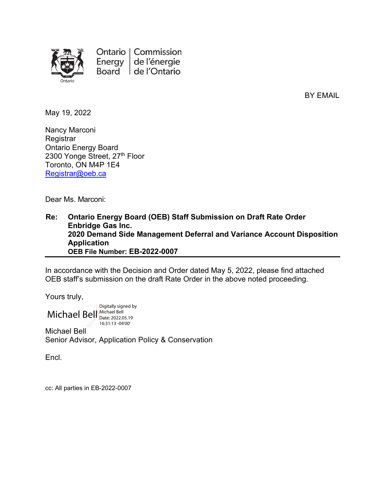

Ontario | Commission de l'énergie Energy Board de l'Ontario

BY EMAIL

May 19, 2022

Nancy Marconi **Registrar** Ontario Energy Board 2300 Yonge Street, 27th Floor Toronto, ON M4P 1E4 [Registrar@oeb.ca](mailto:Registrar@oeb.ca)

Dear Ms. Marconi:

**Re: Ontario Energy Board (OEB) Staff Submission on Draft Rate Order Enbridge Gas Inc. 2020 Demand Side Management Deferral and Variance Account Disposition Application OEB File Number: EB-2022-0007**

In accordance with the Decision and Order dated May 5, 2022, please find attached OEB staff's submission on the draft Rate Order in the above noted proceeding.

Yours truly,

Michael Bell Michael Bell Digitally signed by Date: 2022.05.19 16:31:13 -04'00'

Michael Bell Senior Advisor, Application Policy & Conservation

Encl.

cc: All parties in EB-2022-0007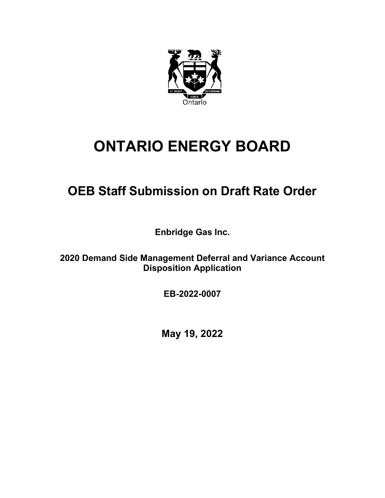

# **ONTARIO ENERGY BOARD**

# **OEB Staff Submission on Draft Rate Order**

**Enbridge Gas Inc.**

**2020 Demand Side Management Deferral and Variance Account Disposition Application**

**EB-2022-0007**

**May 19, 2022**